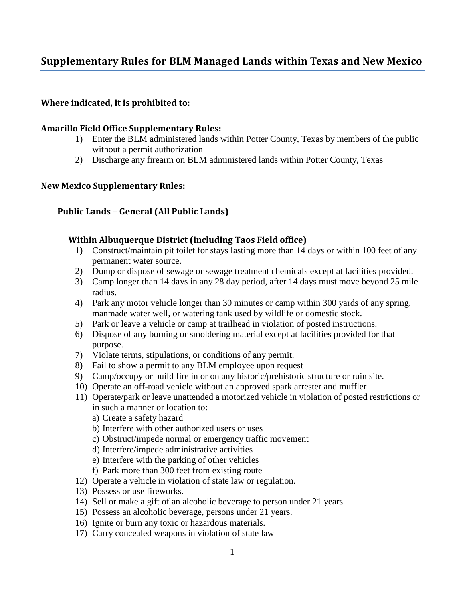# **Supplementary Rules for BLM Managed Lands within Texas and New Mexico**

## **Where indicated, it is prohibited to:**

#### **Amarillo Field Office Supplementary Rules:**

- 1) Enter the BLM administered lands within Potter County, Texas by members of the public without a permit authorization
- 2) Discharge any firearm on BLM administered lands within Potter County, Texas

#### **New Mexico Supplementary Rules:**

#### **Public Lands – General (All Public Lands)**

#### **Within Albuquerque District (including Taos Field office)**

- 1) Construct/maintain pit toilet for stays lasting more than 14 days or within 100 feet of any permanent water source.
- 2) Dump or dispose of sewage or sewage treatment chemicals except at facilities provided.
- 3) Camp longer than 14 days in any 28 day period, after 14 days must move beyond 25 mile radius.
- 4) Park any motor vehicle longer than 30 minutes or camp within 300 yards of any spring, manmade water well, or watering tank used by wildlife or domestic stock.
- 5) Park or leave a vehicle or camp at trailhead in violation of posted instructions.
- 6) Dispose of any burning or smoldering material except at facilities provided for that purpose.
- 7) Violate terms, stipulations, or conditions of any permit.
- 8) Fail to show a permit to any BLM employee upon request
- 9) Camp/occupy or build fire in or on any historic/prehistoric structure or ruin site.
- 10) Operate an off-road vehicle without an approved spark arrester and muffler
- 11) Operate/park or leave unattended a motorized vehicle in violation of posted restrictions or in such a manner or location to:
	- a) Create a safety hazard
	- b) Interfere with other authorized users or uses
	- c) Obstruct/impede normal or emergency traffic movement
	- d) Interfere/impede administrative activities
	- e) Interfere with the parking of other vehicles
	- f) Park more than 300 feet from existing route
- 12) Operate a vehicle in violation of state law or regulation.
- 13) Possess or use fireworks.
- 14) Sell or make a gift of an alcoholic beverage to person under 21 years.
- 15) Possess an alcoholic beverage, persons under 21 years.
- 16) Ignite or burn any toxic or hazardous materials.
- 17) Carry concealed weapons in violation of state law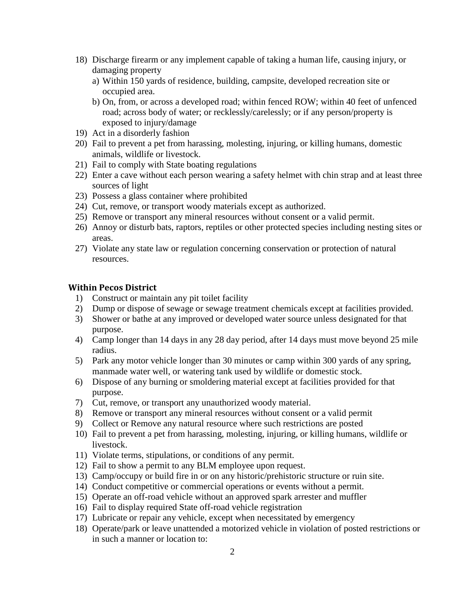- 18) Discharge firearm or any implement capable of taking a human life, causing injury, or damaging property
	- a) Within 150 yards of residence, building, campsite, developed recreation site or occupied area.
	- b) On, from, or across a developed road; within fenced ROW; within 40 feet of unfenced road; across body of water; or recklessly/carelessly; or if any person/property is exposed to injury/damage
- 19) Act in a disorderly fashion
- 20) Fail to prevent a pet from harassing, molesting, injuring, or killing humans, domestic animals, wildlife or livestock.
- 21) Fail to comply with State boating regulations
- 22) Enter a cave without each person wearing a safety helmet with chin strap and at least three sources of light
- 23) Possess a glass container where prohibited
- 24) Cut, remove, or transport woody materials except as authorized.
- 25) Remove or transport any mineral resources without consent or a valid permit.
- 26) Annoy or disturb bats, raptors, reptiles or other protected species including nesting sites or areas.
- 27) Violate any state law or regulation concerning conservation or protection of natural resources.

#### **Within Pecos District**

- 1) Construct or maintain any pit toilet facility
- 2) Dump or dispose of sewage or sewage treatment chemicals except at facilities provided.
- 3) Shower or bathe at any improved or developed water source unless designated for that purpose.
- 4) Camp longer than 14 days in any 28 day period, after 14 days must move beyond 25 mile radius.
- 5) Park any motor vehicle longer than 30 minutes or camp within 300 yards of any spring, manmade water well, or watering tank used by wildlife or domestic stock.
- 6) Dispose of any burning or smoldering material except at facilities provided for that purpose.
- 7) Cut, remove, or transport any unauthorized woody material.
- 8) Remove or transport any mineral resources without consent or a valid permit
- 9) Collect or Remove any natural resource where such restrictions are posted
- 10) Fail to prevent a pet from harassing, molesting, injuring, or killing humans, wildlife or livestock.
- 11) Violate terms, stipulations, or conditions of any permit.
- 12) Fail to show a permit to any BLM employee upon request.
- 13) Camp/occupy or build fire in or on any historic/prehistoric structure or ruin site.
- 14) Conduct competitive or commercial operations or events without a permit.
- 15) Operate an off-road vehicle without an approved spark arrester and muffler
- 16) Fail to display required State off-road vehicle registration
- 17) Lubricate or repair any vehicle, except when necessitated by emergency
- 18) Operate/park or leave unattended a motorized vehicle in violation of posted restrictions or in such a manner or location to: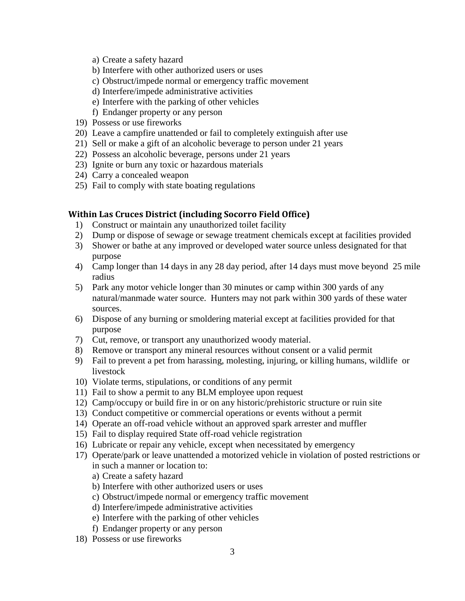- a) Create a safety hazard
- b) Interfere with other authorized users or uses
- c) Obstruct/impede normal or emergency traffic movement
- d) Interfere/impede administrative activities
- e) Interfere with the parking of other vehicles
- f) Endanger property or any person
- 19) Possess or use fireworks
- 20) Leave a campfire unattended or fail to completely extinguish after use
- 21) Sell or make a gift of an alcoholic beverage to person under 21 years
- 22) Possess an alcoholic beverage, persons under 21 years
- 23) Ignite or burn any toxic or hazardous materials
- 24) Carry a concealed weapon
- 25) Fail to comply with state boating regulations

#### **Within Las Cruces District (including Socorro Field Office)**

- 1) Construct or maintain any unauthorized toilet facility
- 2) Dump or dispose of sewage or sewage treatment chemicals except at facilities provided
- 3) Shower or bathe at any improved or developed water source unless designated for that purpose
- 4) Camp longer than 14 days in any 28 day period, after 14 days must move beyond 25 mile radius
- 5) Park any motor vehicle longer than 30 minutes or camp within 300 yards of any natural/manmade water source. Hunters may not park within 300 yards of these water sources.
- 6) Dispose of any burning or smoldering material except at facilities provided for that purpose
- 7) Cut, remove, or transport any unauthorized woody material.
- 8) Remove or transport any mineral resources without consent or a valid permit
- 9) Fail to prevent a pet from harassing, molesting, injuring, or killing humans, wildlife or livestock
- 10) Violate terms, stipulations, or conditions of any permit
- 11) Fail to show a permit to any BLM employee upon request
- 12) Camp/occupy or build fire in or on any historic/prehistoric structure or ruin site
- 13) Conduct competitive or commercial operations or events without a permit
- 14) Operate an off-road vehicle without an approved spark arrester and muffler
- 15) Fail to display required State off-road vehicle registration
- 16) Lubricate or repair any vehicle, except when necessitated by emergency
- 17) Operate/park or leave unattended a motorized vehicle in violation of posted restrictions or in such a manner or location to:
	- a) Create a safety hazard
	- b) Interfere with other authorized users or uses
	- c) Obstruct/impede normal or emergency traffic movement
	- d) Interfere/impede administrative activities
	- e) Interfere with the parking of other vehicles
	- f) Endanger property or any person
- 18) Possess or use fireworks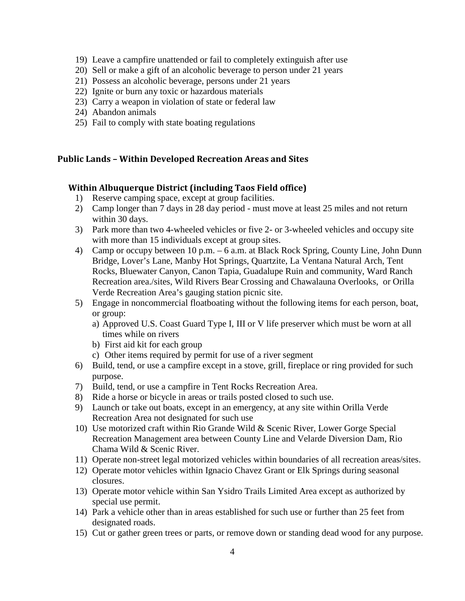- 19) Leave a campfire unattended or fail to completely extinguish after use
- 20) Sell or make a gift of an alcoholic beverage to person under 21 years
- 21) Possess an alcoholic beverage, persons under 21 years
- 22) Ignite or burn any toxic or hazardous materials
- 23) Carry a weapon in violation of state or federal law
- 24) Abandon animals
- 25) Fail to comply with state boating regulations

# **Public Lands – Within Developed Recreation Areas and Sites**

## **Within Albuquerque District (including Taos Field office)**

- 1) Reserve camping space, except at group facilities.
- 2) Camp longer than 7 days in 28 day period must move at least 25 miles and not return within 30 days.
- 3) Park more than two 4-wheeled vehicles or five 2- or 3-wheeled vehicles and occupy site with more than 15 individuals except at group sites.
- 4) Camp or occupy between 10 p.m. 6 a.m. at Black Rock Spring, County Line, John Dunn Bridge, Lover's Lane, Manby Hot Springs, Quartzite, La Ventana Natural Arch, Tent Rocks, Bluewater Canyon, Canon Tapia, Guadalupe Ruin and community, Ward Ranch Recreation area./sites, Wild Rivers Bear Crossing and Chawalauna Overlooks, or Orilla Verde Recreation Area's gauging station picnic site.
- 5) Engage in noncommercial floatboating without the following items for each person, boat, or group:
	- a) Approved U.S. Coast Guard Type I, III or V life preserver which must be worn at all times while on rivers
	- b) First aid kit for each group
	- c) Other items required by permit for use of a river segment
- 6) Build, tend, or use a campfire except in a stove, grill, fireplace or ring provided for such purpose.
- 7) Build, tend, or use a campfire in Tent Rocks Recreation Area.
- 8) Ride a horse or bicycle in areas or trails posted closed to such use.
- 9) Launch or take out boats, except in an emergency, at any site within Orilla Verde Recreation Area not designated for such use
- 10) Use motorized craft within Rio Grande Wild & Scenic River, Lower Gorge Special Recreation Management area between County Line and Velarde Diversion Dam, Rio Chama Wild & Scenic River.
- 11) Operate non-street legal motorized vehicles within boundaries of all recreation areas/sites.
- 12) Operate motor vehicles within Ignacio Chavez Grant or Elk Springs during seasonal closures.
- 13) Operate motor vehicle within San Ysidro Trails Limited Area except as authorized by special use permit.
- 14) Park a vehicle other than in areas established for such use or further than 25 feet from designated roads.
- 15) Cut or gather green trees or parts, or remove down or standing dead wood for any purpose.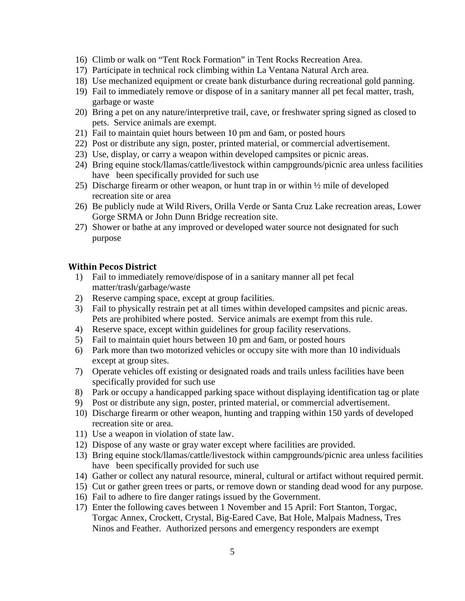- 16) Climb or walk on "Tent Rock Formation" in Tent Rocks Recreation Area.
- 17) Participate in technical rock climbing within La Ventana Natural Arch area.
- 18) Use mechanized equipment or create bank disturbance during recreational gold panning.
- 19) Fail to immediately remove or dispose of in a sanitary manner all pet fecal matter, trash, garbage or waste
- 20) Bring a pet on any nature/interpretive trail, cave, or freshwater spring signed as closed to pets. Service animals are exempt.
- 21) Fail to maintain quiet hours between 10 pm and 6am, or posted hours
- 22) Post or distribute any sign, poster, printed material, or commercial advertisement.
- 23) Use, display, or carry a weapon within developed campsites or picnic areas.
- 24) Bring equine stock/llamas/cattle/livestock within campgrounds/picnic area unless facilities have been specifically provided for such use
- 25) Discharge firearm or other weapon, or hunt trap in or within ½ mile of developed recreation site or area
- 26) Be publicly nude at Wild Rivers, Orilla Verde or Santa Cruz Lake recreation areas, Lower Gorge SRMA or John Dunn Bridge recreation site.
- 27) Shower or bathe at any improved or developed water source not designated for such purpose

#### **Within Pecos District**

- 1) Fail to immediately remove/dispose of in a sanitary manner all pet fecal matter/trash/garbage/waste
- 2) Reserve camping space, except at group facilities.
- 3) Fail to physically restrain pet at all times within developed campsites and picnic areas. Pets are prohibited where posted. Service animals are exempt from this rule.
- 4) Reserve space, except within guidelines for group facility reservations.
- 5) Fail to maintain quiet hours between 10 pm and 6am, or posted hours
- 6) Park more than two motorized vehicles or occupy site with more than 10 individuals except at group sites.
- 7) Operate vehicles off existing or designated roads and trails unless facilities have been specifically provided for such use
- 8) Park or occupy a handicapped parking space without displaying identification tag or plate
- 9) Post or distribute any sign, poster, printed material, or commercial advertisement.
- 10) Discharge firearm or other weapon, hunting and trapping within 150 yards of developed recreation site or area.
- 11) Use a weapon in violation of state law.
- 12) Dispose of any waste or gray water except where facilities are provided.
- 13) Bring equine stock/llamas/cattle/livestock within campgrounds/picnic area unless facilities have been specifically provided for such use
- 14) Gather or collect any natural resource, mineral, cultural or artifact without required permit.
- 15) Cut or gather green trees or parts, or remove down or standing dead wood for any purpose.
- 16) Fail to adhere to fire danger ratings issued by the Government.
- 17) Enter the following caves between 1 November and 15 April: Fort Stanton, Torgac, Torgac Annex, Crockett, Crystal, Big-Eared Cave, Bat Hole, Malpais Madness, Tres Ninos and Feather. Authorized persons and emergency responders are exempt